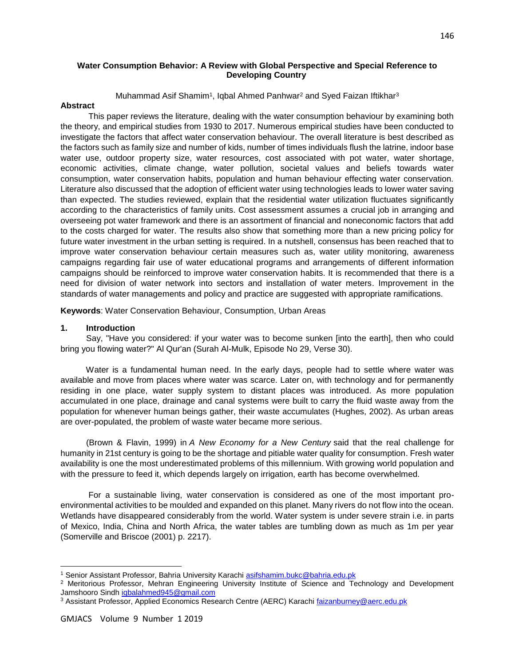# **Water Consumption Behavior: A Review with Global Perspective and Special Reference to Developing Country**

Muhammad Asif Shamim<sup>1</sup>, Iqbal Ahmed Panhwar<sup>2</sup> and Syed Faizan Iftikhar<sup>3</sup>

## **Abstract**

 This paper reviews the literature, dealing with the water consumption behaviour by examining both the theory, and empirical studies from 1930 to 2017. Numerous empirical studies have been conducted to investigate the factors that affect water conservation behaviour. The overall literature is best described as the factors such as family size and number of kids, number of times individuals flush the latrine, indoor base water use, outdoor property size, water resources, cost associated with pot water, water shortage, economic activities, climate change, water pollution, societal values and beliefs towards water consumption, water conservation habits, population and human behaviour effecting water conservation. Literature also discussed that the adoption of efficient water using technologies leads to lower water saving than expected. The studies reviewed, explain that the residential water utilization fluctuates significantly according to the characteristics of family units. Cost assessment assumes a crucial job in arranging and overseeing pot water framework and there is an assortment of financial and noneconomic factors that add to the costs charged for water. The results also show that something more than a new pricing policy for future water investment in the urban setting is required. In a nutshell, consensus has been reached that to improve water conservation behaviour certain measures such as, water utility monitoring, awareness campaigns regarding fair use of water educational programs and arrangements of different information campaigns should be reinforced to improve water conservation habits. It is recommended that there is a need for division of water network into sectors and installation of water meters. Improvement in the standards of water managements and policy and practice are suggested with appropriate ramifications.

**Keywords**: Water Conservation Behaviour, Consumption, Urban Areas

## **1. Introduction**

 Say, "Have you considered: if your water was to become sunken [into the earth], then who could bring you flowing water?" Al Qur'an (Surah Al-Mulk, Episode No 29, Verse 30).

 Water is a fundamental human need. In the early days, people had to settle where water was available and move from places where water was scarce. Later on, with technology and for permanently residing in one place, water supply system to distant places was introduced. As more population accumulated in one place, drainage and canal systems were built to carry the fluid waste away from the population for whenever human beings gather, their waste accumulates (Hughes, 2002). As urban areas are over-populated, the problem of waste water became more serious.

 (Brown & Flavin, 1999) in *A New Economy for a New Century* said that the real challenge for humanity in 21st century is going to be the shortage and pitiable water quality for consumption. Fresh water availability is one the most underestimated problems of this millennium. With growing world population and with the pressure to feed it, which depends largely on irrigation, earth has become overwhelmed.

 For a sustainable living, water conservation is considered as one of the most important proenvironmental activities to be moulded and expanded on this planet. Many rivers do not flow into the ocean. Wetlands have disappeared considerably from the world. Water system is under severe strain i.e. in parts of Mexico, India, China and North Africa, the water tables are tumbling down as much as 1m per year (Somerville and Briscoe (2001) p. 2217).

 $\overline{a}$ 

<sup>1</sup> Senior Assistant Professor, Bahria University Karachi asifshamim.bukc@bahria.edu.pk

<sup>&</sup>lt;sup>2</sup> Meritorious Professor, Mehran Engineering University Institute of Science and Technology and Development Jamshooro Sindh iqbalahmed945@gmail.com

<sup>&</sup>lt;sup>3</sup> Assistant Professor, Applied Economics Research Centre (AERC) Karachi faizanburney@aerc.edu.pk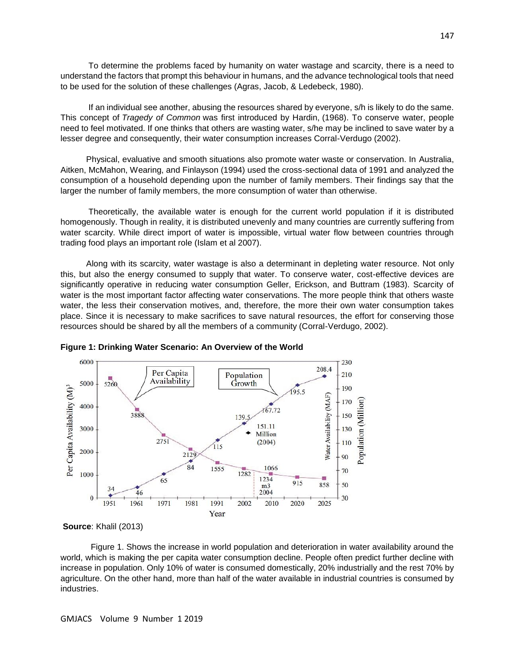To determine the problems faced by humanity on water wastage and scarcity, there is a need to understand the factors that prompt this behaviour in humans, and the advance technological tools that need to be used for the solution of these challenges (Agras, Jacob, & Ledebeck, 1980).

 If an individual see another, abusing the resources shared by everyone, s/h is likely to do the same. This concept of *Tragedy of Common* was first introduced by Hardin, (1968). To conserve water, people need to feel motivated. If one thinks that others are wasting water, s/he may be inclined to save water by a lesser degree and consequently, their water consumption increases Corral-Verdugo (2002).

 Physical, evaluative and smooth situations also promote water waste or conservation. In Australia, Aitken, McMahon, Wearing, and Finlayson (1994) used the cross-sectional data of 1991 and analyzed the consumption of a household depending upon the number of family members. Their findings say that the larger the number of family members, the more consumption of water than otherwise.

 Theoretically, the available water is enough for the current world population if it is distributed homogenously. Though in reality, it is distributed unevenly and many countries are currently suffering from water scarcity. While direct import of water is impossible, virtual water flow between countries through trading food plays an important role (Islam et al 2007).

 Along with its scarcity, water wastage is also a determinant in depleting water resource. Not only this, but also the energy consumed to supply that water. To conserve water, cost-effective devices are significantly operative in reducing water consumption Geller, Erickson, and Buttram (1983). Scarcity of water is the most important factor affecting water conservations. The more people think that others waste water, the less their conservation motives, and, therefore, the more their own water consumption takes place. Since it is necessary to make sacrifices to save natural resources, the effort for conserving those resources should be shared by all the members of a community (Corral-Verdugo, 2002).





 Figure 1. Shows the increase in world population and deterioration in water availability around the world, which is making the per capita water consumption decline. People often predict further decline with increase in population. Only 10% of water is consumed domestically, 20% industrially and the rest 70% by agriculture. On the other hand, more than half of the water available in industrial countries is consumed by industries.

**Source**: Khalil (2013)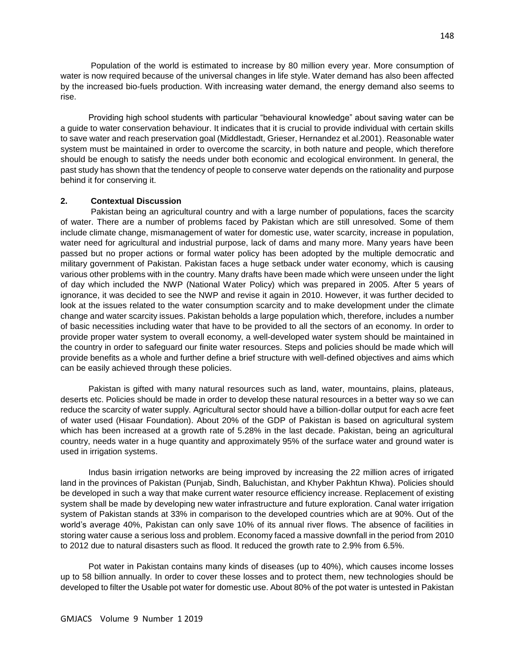Population of the world is estimated to increase by 80 million every year. More consumption of water is now required because of the universal changes in life style. Water demand has also been affected by the increased bio-fuels production. With increasing water demand, the energy demand also seems to rise.

 Providing high school students with particular "behavioural knowledge" about saving water can be a guide to water conservation behaviour. It indicates that it is crucial to provide individual with certain skills to save water and reach preservation goal (Middlestadt, Grieser, Hernandez et al.2001). Reasonable water system must be maintained in order to overcome the scarcity, in both nature and people, which therefore should be enough to satisfy the needs under both economic and ecological environment. In general, the past study has shown that the tendency of people to conserve water depends on the rationality and purpose behind it for conserving it.

## **2. Contextual Discussion**

 Pakistan being an agricultural country and with a large number of populations, faces the scarcity of water. There are a number of problems faced by Pakistan which are still unresolved. Some of them include climate change, mismanagement of water for domestic use, water scarcity, increase in population, water need for agricultural and industrial purpose, lack of dams and many more. Many years have been passed but no proper actions or formal water policy has been adopted by the multiple democratic and military government of Pakistan. Pakistan faces a huge setback under water economy, which is causing various other problems with in the country. Many drafts have been made which were unseen under the light of day which included the NWP (National Water Policy) which was prepared in 2005. After 5 years of ignorance, it was decided to see the NWP and revise it again in 2010. However, it was further decided to look at the issues related to the water consumption scarcity and to make development under the climate change and water scarcity issues. Pakistan beholds a large population which, therefore, includes a number of basic necessities including water that have to be provided to all the sectors of an economy. In order to provide proper water system to overall economy, a well-developed water system should be maintained in the country in order to safeguard our finite water resources. Steps and policies should be made which will provide benefits as a whole and further define a brief structure with well-defined objectives and aims which can be easily achieved through these policies.

 Pakistan is gifted with many natural resources such as land, water, mountains, plains, plateaus, deserts etc. Policies should be made in order to develop these natural resources in a better way so we can reduce the scarcity of water supply. Agricultural sector should have a billion-dollar output for each acre feet of water used (Hisaar Foundation). About 20% of the GDP of Pakistan is based on agricultural system which has been increased at a growth rate of 5.28% in the last decade. Pakistan, being an agricultural country, needs water in a huge quantity and approximately 95% of the surface water and ground water is used in irrigation systems.

 Indus basin irrigation networks are being improved by increasing the 22 million acres of irrigated land in the provinces of Pakistan (Punjab, Sindh, Baluchistan, and Khyber Pakhtun Khwa). Policies should be developed in such a way that make current water resource efficiency increase. Replacement of existing system shall be made by developing new water infrastructure and future exploration. Canal water irrigation system of Pakistan stands at 33% in comparison to the developed countries which are at 90%. Out of the world's average 40%, Pakistan can only save 10% of its annual river flows. The absence of facilities in storing water cause a serious loss and problem. Economy faced a massive downfall in the period from 2010 to 2012 due to natural disasters such as flood. It reduced the growth rate to 2.9% from 6.5%.

 Pot water in Pakistan contains many kinds of diseases (up to 40%), which causes income losses up to 58 billion annually. In order to cover these losses and to protect them, new technologies should be developed to filter the Usable pot water for domestic use. About 80% of the pot water is untested in Pakistan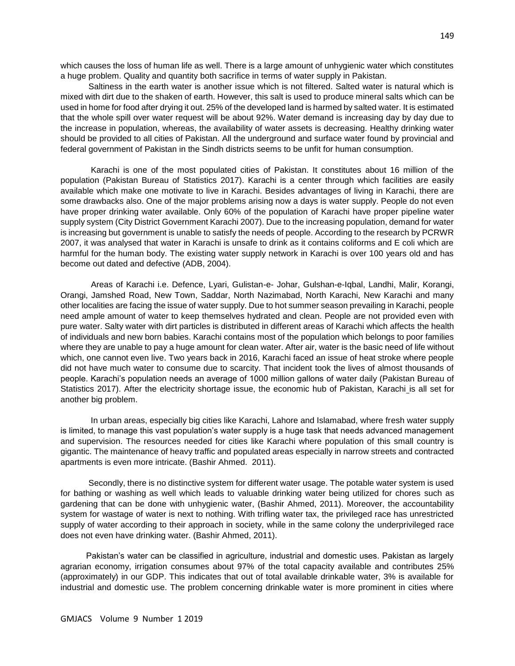which causes the loss of human life as well. There is a large amount of unhygienic water which constitutes a huge problem. Quality and quantity both sacrifice in terms of water supply in Pakistan.

 Saltiness in the earth water is another issue which is not filtered. Salted water is natural which is mixed with dirt due to the shaken of earth. However, this salt is used to produce mineral salts which can be used in home for food after drying it out. 25% of the developed land is harmed by salted water. It is estimated that the whole spill over water request will be about 92%. Water demand is increasing day by day due to the increase in population, whereas, the availability of water assets is decreasing. Healthy drinking water should be provided to all cities of Pakistan. All the underground and surface water found by provincial and federal government of Pakistan in the Sindh districts seems to be unfit for human consumption.

 Karachi is one of the most populated cities of Pakistan. It constitutes about 16 million of the population (Pakistan Bureau of Statistics 2017). Karachi is a center through which facilities are easily available which make one motivate to live in Karachi. Besides advantages of living in Karachi, there are some drawbacks also. One of the major problems arising now a days is water supply. People do not even have proper drinking water available. Only 60% of the population of Karachi have proper pipeline water supply system (City District Government Karachi 2007). Due to the increasing population, demand for water is increasing but government is unable to satisfy the needs of people. According to the research by PCRWR 2007, it was analysed that water in Karachi is unsafe to drink as it contains coliforms and E coli which are harmful for the human body. The existing water supply network in Karachi is over 100 years old and has become out dated and defective (ADB, 2004).

 Areas of Karachi i.e. Defence, Lyari, Gulistan-e- Johar, Gulshan-e-Iqbal, Landhi, Malir, Korangi, Orangi, Jamshed Road, New Town, Saddar, North Nazimabad, North Karachi, New Karachi and many other localities are facing the issue of water supply. Due to hot summer season prevailing in Karachi, people need ample amount of water to keep themselves hydrated and clean. People are not provided even with pure water. Salty water with dirt particles is distributed in different areas of Karachi which affects the health of individuals and new born babies. Karachi contains most of the population which belongs to poor families where they are unable to pay a huge amount for clean water. After air, water is the basic need of life without which, one cannot even live. Two years back in 2016, Karachi faced an issue of heat stroke where people did not have much water to consume due to scarcity. That incident took the lives of almost thousands of people. Karachi's population needs an average of 1000 million gallons of water daily (Pakistan Bureau of Statistics 2017). After the electricity shortage issue, the economic hub of Pakistan, Karachi is all set for another big problem.

 In urban areas, especially big cities like Karachi, Lahore and Islamabad, where fresh water supply is limited, to manage this vast population's water supply is a huge task that needs advanced management and supervision. The resources needed for cities like Karachi where population of this small country is gigantic. The maintenance of heavy traffic and populated areas especially in narrow streets and contracted apartments is even more intricate. (Bashir Ahmed. 2011).

 Secondly, there is no distinctive system for different water usage. The potable water system is used for bathing or washing as well which leads to valuable drinking water being utilized for chores such as gardening that can be done with unhygienic water, (Bashir Ahmed, 2011). Moreover, the accountability system for wastage of water is next to nothing. With trifling water tax, the privileged race has unrestricted supply of water according to their approach in society, while in the same colony the underprivileged race does not even have drinking water. (Bashir Ahmed, 2011).

 Pakistan's water can be classified in agriculture, industrial and domestic uses. Pakistan as largely agrarian economy, irrigation consumes about 97% of the total capacity available and contributes 25% (approximately) in our GDP. This indicates that out of total available drinkable water, 3% is available for industrial and domestic use. The problem concerning drinkable water is more prominent in cities where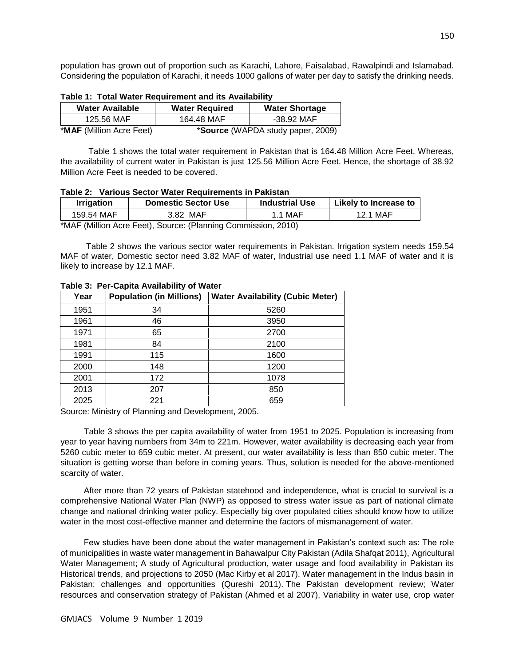population has grown out of proportion such as Karachi, Lahore, Faisalabad, Rawalpindi and Islamabad. Considering the population of Karachi, it needs 1000 gallons of water per day to satisfy the drinking needs.

| <b>Water Available</b>          | <b>Water Required</b> | <b>Water Shortage</b>             |
|---------------------------------|-----------------------|-----------------------------------|
| 125.56 MAF                      | 164.48 MAF            | -38.92 MAF                        |
| <b>*MAF</b> (Million Acre Feet) |                       | *Source (WAPDA study paper, 2009) |

|  |  | Table 1: Total Water Requirement and its Availability |  |  |
|--|--|-------------------------------------------------------|--|--|
|--|--|-------------------------------------------------------|--|--|

 Table 1 shows the total water requirement in Pakistan that is 164.48 Million Acre Feet. Whereas, the availability of current water in Pakistan is just 125.56 Million Acre Feet. Hence, the shortage of 38.92 Million Acre Feet is needed to be covered.

| <b>Irrigation</b>                                             | <b>Domestic Sector Use</b> | <b>Industrial Use</b> | Likely to Increase to |  |
|---------------------------------------------------------------|----------------------------|-----------------------|-----------------------|--|
| 159.54 MAF                                                    | 3.82 MAF                   | 1.1 MAF               | 12.1 MAF              |  |
| *MAF (Million Acre Feet), Source: (Planning Commission, 2010) |                            |                       |                       |  |

 Table 2 shows the various sector water requirements in Pakistan. Irrigation system needs 159.54 MAF of water, Domestic sector need 3.82 MAF of water, Industrial use need 1.1 MAF of water and it is likely to increase by 12.1 MAF.

| Year | <b>Population (in Millions)</b> | <b>Water Availability (Cubic Meter)</b> |
|------|---------------------------------|-----------------------------------------|
| 1951 | 34                              | 5260                                    |
| 1961 | 46                              | 3950                                    |
| 1971 | 65                              | 2700                                    |
| 1981 | 84                              | 2100                                    |
| 1991 | 115                             | 1600                                    |
| 2000 | 148                             | 1200                                    |
| 2001 | 172                             | 1078                                    |
| 2013 | 207                             | 850                                     |
| 2025 | 221                             | 659                                     |

**Table 3: Per-Capita Availability of Water**

Source: Ministry of Planning and Development, 2005.

 Table 3 shows the per capita availability of water from 1951 to 2025. Population is increasing from year to year having numbers from 34m to 221m. However, water availability is decreasing each year from 5260 cubic meter to 659 cubic meter. At present, our water availability is less than 850 cubic meter. The situation is getting worse than before in coming years. Thus, solution is needed for the above-mentioned scarcity of water.

 After more than 72 years of Pakistan statehood and independence, what is crucial to survival is a comprehensive National Water Plan (NWP) as opposed to stress water issue as part of national climate change and national drinking water policy. Especially big over populated cities should know how to utilize water in the most cost-effective manner and determine the factors of mismanagement of water.

 Few studies have been done about the water management in Pakistan's context such as: The role of municipalities in waste water management in Bahawalpur City Pakistan (Adila Shafqat 2011), Agricultural Water Management; A study of Agricultural production, water usage and food availability in Pakistan its Historical trends, and projections to 2050 (Mac Kirby et al 2017), Water management in the Indus basin in Pakistan; challenges and opportunities (Qureshi 2011). The Pakistan development review; Water resources and conservation strategy of Pakistan (Ahmed et al 2007), Variability in water use, crop water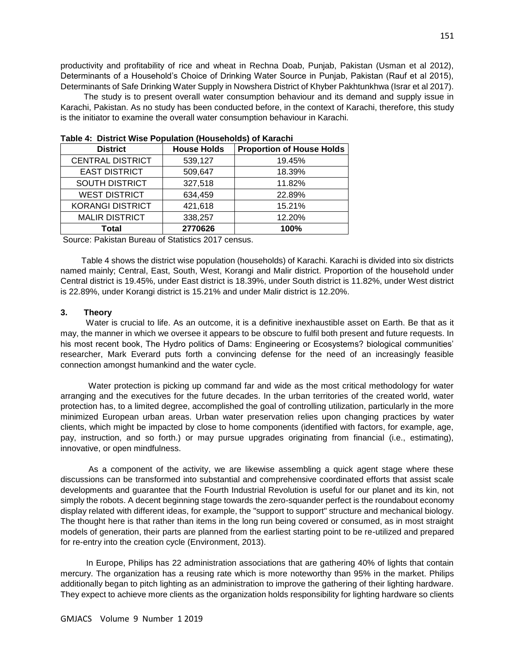productivity and profitability of rice and wheat in Rechna Doab, Punjab, Pakistan (Usman et al 2012), Determinants of a Household's Choice of Drinking Water Source in Punjab, Pakistan (Rauf et al 2015), Determinants of Safe Drinking Water Supply in Nowshera District of Khyber Pakhtunkhwa (Israr et al 2017).

 The study is to present overall water consumption behaviour and its demand and supply issue in Karachi, Pakistan. As no study has been conducted before, in the context of Karachi, therefore, this study is the initiator to examine the overall water consumption behaviour in Karachi.

| <b>District</b>         | <b>House Holds</b> | <b>Proportion of House Holds</b> |  |  |
|-------------------------|--------------------|----------------------------------|--|--|
| <b>CENTRAL DISTRICT</b> | 539,127            | 19.45%                           |  |  |
| <b>EAST DISTRICT</b>    | 509,647            | 18.39%                           |  |  |
| <b>SOUTH DISTRICT</b>   | 327,518            | 11.82%                           |  |  |
| <b>WEST DISTRICT</b>    | 634,459            | 22.89%                           |  |  |
| <b>KORANGI DISTRICT</b> | 421,618            | 15.21%                           |  |  |
| <b>MALIR DISTRICT</b>   | 338,257            | 12.20%                           |  |  |
| Total                   | 2770626            | 100%                             |  |  |

**Table 4: District Wise Population (Households) of Karachi**

Source: Pakistan Bureau of Statistics 2017 census.

 Table 4 shows the district wise population (households) of Karachi. Karachi is divided into six districts named mainly; Central, East, South, West, Korangi and Malir district. Proportion of the household under Central district is 19.45%, under East district is 18.39%, under South district is 11.82%, under West district is 22.89%, under Korangi district is 15.21% and under Malir district is 12.20%.

#### **3. Theory**

 Water is crucial to life. As an outcome, it is a definitive inexhaustible asset on Earth. Be that as it may, the manner in which we oversee it appears to be obscure to fulfil both present and future requests. In his most recent book, The Hydro politics of Dams: Engineering or Ecosystems? biological communities' researcher, Mark Everard puts forth a convincing defense for the need of an increasingly feasible connection amongst humankind and the water cycle.

 Water protection is picking up command far and wide as the most critical methodology for water arranging and the executives for the future decades. In the urban territories of the created world, water protection has, to a limited degree, accomplished the goal of controlling utilization, particularly in the more minimized European urban areas. Urban water preservation relies upon changing practices by water clients, which might be impacted by close to home components (identified with factors, for example, age, pay, instruction, and so forth.) or may pursue upgrades originating from financial (i.e., estimating), innovative, or open mindfulness.

 As a component of the activity, we are likewise assembling a quick agent stage where these discussions can be transformed into substantial and comprehensive coordinated efforts that assist scale developments and guarantee that the Fourth Industrial Revolution is useful for our planet and its kin, not simply the robots. A decent beginning stage towards the zero-squander perfect is the roundabout economy display related with different ideas, for example, the "support to support" structure and mechanical biology. The thought here is that rather than items in the long run being covered or consumed, as in most straight models of generation, their parts are planned from the earliest starting point to be re-utilized and prepared for re-entry into the creation cycle (Environment, 2013).

 In Europe, Philips has 22 administration associations that are gathering 40% of lights that contain mercury. The organization has a reusing rate which is more noteworthy than 95% in the market. Philips additionally began to pitch lighting as an administration to improve the gathering of their lighting hardware. They expect to achieve more clients as the organization holds responsibility for lighting hardware so clients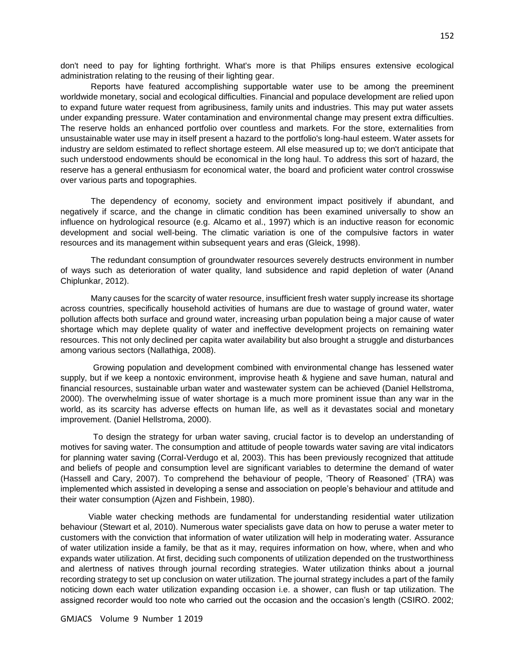don't need to pay for lighting forthright. What's more is that Philips ensures extensive ecological administration relating to the reusing of their lighting gear.

 Reports have featured accomplishing supportable water use to be among the preeminent worldwide monetary, social and ecological difficulties. Financial and populace development are relied upon to expand future water request from agribusiness, family units and industries. This may put water assets under expanding pressure. Water contamination and environmental change may present extra difficulties. The reserve holds an enhanced portfolio over countless and markets. For the store, externalities from unsustainable water use may in itself present a hazard to the portfolio's long-haul esteem. Water assets for industry are seldom estimated to reflect shortage esteem. All else measured up to; we don't anticipate that such understood endowments should be economical in the long haul. To address this sort of hazard, the reserve has a general enthusiasm for economical water, the board and proficient water control crosswise over various parts and topographies.

 The dependency of economy, society and environment impact positively if abundant, and negatively if scarce, and the change in climatic condition has been examined universally to show an influence on hydrological resource (e.g. Alcamo et al., 1997) which is an inductive reason for economic development and social well-being. The climatic variation is one of the compulsive factors in water resources and its management within subsequent years and eras (Gleick, 1998).

 The redundant consumption of groundwater resources severely destructs environment in number of ways such as deterioration of water quality, land subsidence and rapid depletion of water (Anand Chiplunkar, 2012).

 Many causes for the scarcity of water resource, insufficient fresh water supply increase its shortage across countries, specifically household activities of humans are due to wastage of ground water, water pollution affects both surface and ground water, increasing urban population being a major cause of water shortage which may deplete quality of water and ineffective development projects on remaining water resources. This not only declined per capita water availability but also brought a struggle and disturbances among various sectors (Nallathiga, 2008).

 Growing population and development combined with environmental change has lessened water supply, but if we keep a nontoxic environment, improvise heath & hygiene and save human, natural and financial resources, sustainable urban water and wastewater system can be achieved (Daniel Hellstroma, 2000). The overwhelming issue of water shortage is a much more prominent issue than any war in the world, as its scarcity has adverse effects on human life, as well as it devastates social and monetary improvement. (Daniel Hellstroma, 2000).

 To design the strategy for urban water saving, crucial factor is to develop an understanding of motives for saving water. The consumption and attitude of people towards water saving are vital indicators for planning water saving (Corral-Verdugo et al, 2003). This has been previously recognized that attitude and beliefs of people and consumption level are significant variables to determine the demand of water (Hassell and Cary, 2007). To comprehend the behaviour of people, 'Theory of Reasoned' (TRA) was implemented which assisted in developing a sense and association on people's behaviour and attitude and their water consumption (Ajzen and Fishbein, 1980).

 Viable water checking methods are fundamental for understanding residential water utilization behaviour (Stewart et al, 2010). Numerous water specialists gave data on how to peruse a water meter to customers with the conviction that information of water utilization will help in moderating water. Assurance of water utilization inside a family, be that as it may, requires information on how, where, when and who expands water utilization. At first, deciding such components of utilization depended on the trustworthiness and alertness of natives through journal recording strategies. Water utilization thinks about a journal recording strategy to set up conclusion on water utilization. The journal strategy includes a part of the family noticing down each water utilization expanding occasion i.e. a shower, can flush or tap utilization. The assigned recorder would too note who carried out the occasion and the occasion's length (CSIRO. 2002;

GMJACS Volume 9 Number 1 2019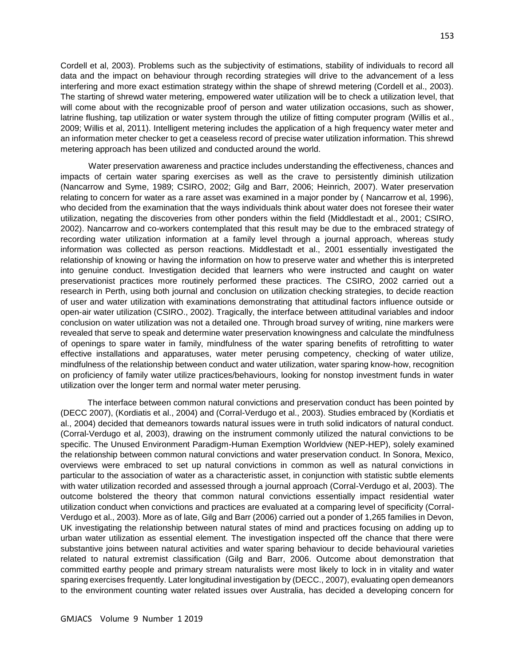Cordell et al, 2003). Problems such as the subjectivity of estimations, stability of individuals to record all data and the impact on behaviour through recording strategies will drive to the advancement of a less interfering and more exact estimation strategy within the shape of shrewd metering (Cordell et al., 2003). The starting of shrewd water metering, empowered water utilization will be to check a utilization level, that will come about with the recognizable proof of person and water utilization occasions, such as shower, latrine flushing, tap utilization or water system through the utilize of fitting computer program (Willis et al., 2009; Willis et al, 2011). Intelligent metering includes the application of a high frequency water meter and an information meter checker to get a ceaseless record of precise water utilization information. This shrewd metering approach has been utilized and conducted around the world.

 Water preservation awareness and practice includes understanding the effectiveness, chances and impacts of certain water sparing exercises as well as the crave to persistently diminish utilization (Nancarrow and Syme, 1989; CSIRO, 2002; Gilg and Barr, 2006; Heinrich, 2007). Water preservation relating to concern for water as a rare asset was examined in a major ponder by ( Nancarrow et al, 1996), who decided from the examination that the ways individuals think about water does not foresee their water utilization, negating the discoveries from other ponders within the field (Middlestadt et al., 2001; CSIRO, 2002). Nancarrow and co-workers contemplated that this result may be due to the embraced strategy of recording water utilization information at a family level through a journal approach, whereas study information was collected as person reactions. Middlestadt et al., 2001 essentially investigated the relationship of knowing or having the information on how to preserve water and whether this is interpreted into genuine conduct. Investigation decided that learners who were instructed and caught on water preservationist practices more routinely performed these practices. The CSIRO, 2002 carried out a research in Perth, using both journal and conclusion on utilization checking strategies, to decide reaction of user and water utilization with examinations demonstrating that attitudinal factors influence outside or open-air water utilization (CSIRO., 2002). Tragically, the interface between attitudinal variables and indoor conclusion on water utilization was not a detailed one. Through broad survey of writing, nine markers were revealed that serve to speak and determine water preservation knowingness and calculate the mindfulness of openings to spare water in family, mindfulness of the water sparing benefits of retrofitting to water effective installations and apparatuses, water meter perusing competency, checking of water utilize, mindfulness of the relationship between conduct and water utilization, water sparing know-how, recognition on proficiency of family water utilize practices/behaviours, looking for nonstop investment funds in water utilization over the longer term and normal water meter perusing.

 The interface between common natural convictions and preservation conduct has been pointed by (DECC 2007), (Kordiatis et al., 2004) and (Corral-Verdugo et al., 2003). Studies embraced by (Kordiatis et al., 2004) decided that demeanors towards natural issues were in truth solid indicators of natural conduct. (Corral-Verdugo et al, 2003), drawing on the instrument commonly utilized the natural convictions to be specific. The Unused Environment Paradigm-Human Exemption Worldview (NEP-HEP), solely examined the relationship between common natural convictions and water preservation conduct. In Sonora, Mexico, overviews were embraced to set up natural convictions in common as well as natural convictions in particular to the association of water as a characteristic asset, in conjunction with statistic subtle elements with water utilization recorded and assessed through a journal approach (Corral-Verdugo et al, 2003). The outcome bolstered the theory that common natural convictions essentially impact residential water utilization conduct when convictions and practices are evaluated at a comparing level of specificity (Corral-Verdugo et al., 2003). More as of late, Gilg and Barr (2006) carried out a ponder of 1,265 families in Devon, UK investigating the relationship between natural states of mind and practices focusing on adding up to urban water utilization as essential element. The investigation inspected off the chance that there were substantive joins between natural activities and water sparing behaviour to decide behavioural varieties related to natural extremist classification (Gilg and Barr, 2006. Outcome about demonstration that committed earthy people and primary stream naturalists were most likely to lock in in vitality and water sparing exercises frequently. Later longitudinal investigation by (DECC., 2007), evaluating open demeanors to the environment counting water related issues over Australia, has decided a developing concern for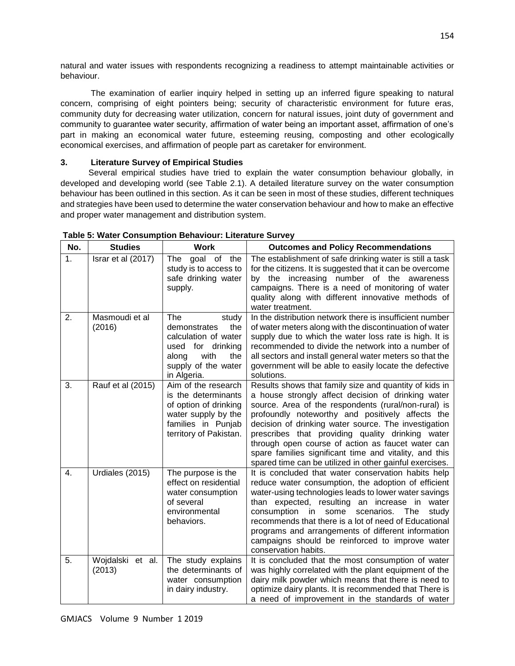natural and water issues with respondents recognizing a readiness to attempt maintainable activities or behaviour.

 The examination of earlier inquiry helped in setting up an inferred figure speaking to natural concern, comprising of eight pointers being; security of characteristic environment for future eras, community duty for decreasing water utilization, concern for natural issues, joint duty of government and community to guarantee water security, affirmation of water being an important asset, affirmation of one's part in making an economical water future, esteeming reusing, composting and other ecologically economical exercises, and affirmation of people part as caretaker for environment.

# **3. Literature Survey of Empirical Studies**

 Several empirical studies have tried to explain the water consumption behaviour globally, in developed and developing world (see Table 2.1). A detailed literature survey on the water consumption behaviour has been outlined in this section. As it can be seen in most of these studies, different techniques and strategies have been used to determine the water conservation behaviour and how to make an effective and proper water management and distribution system.

| No. | <b>Studies</b>             | <b>Work</b>                                                                                                                                       | <b>Outcomes and Policy Recommendations</b>                                                                                                                                                                                                                                                                                                                                                                                                                                                                     |
|-----|----------------------------|---------------------------------------------------------------------------------------------------------------------------------------------------|----------------------------------------------------------------------------------------------------------------------------------------------------------------------------------------------------------------------------------------------------------------------------------------------------------------------------------------------------------------------------------------------------------------------------------------------------------------------------------------------------------------|
| 1.  | Israr et al (2017)         | The<br>goal of the<br>study is to access to<br>safe drinking water<br>supply.                                                                     | The establishment of safe drinking water is still a task<br>for the citizens. It is suggested that it can be overcome<br>by the increasing number of the awareness<br>campaigns. There is a need of monitoring of water<br>quality along with different innovative methods of<br>water treatment.                                                                                                                                                                                                              |
| 2.  | Masmoudi et al<br>(2016)   | The<br>study<br>demonstrates<br>the<br>calculation of water<br>for drinking<br>used<br>with<br>the<br>along<br>supply of the water<br>in Algeria. | In the distribution network there is insufficient number<br>of water meters along with the discontinuation of water<br>supply due to which the water loss rate is high. It is<br>recommended to divide the network into a number of<br>all sectors and install general water meters so that the<br>government will be able to easily locate the defective<br>solutions.                                                                                                                                        |
| 3.  | Rauf et al (2015)          | Aim of the research<br>is the determinants<br>of option of drinking<br>water supply by the<br>families in Punjab<br>territory of Pakistan.        | Results shows that family size and quantity of kids in<br>a house strongly affect decision of drinking water<br>source. Area of the respondents (rural/non-rural) is<br>profoundly noteworthy and positively affects the<br>decision of drinking water source. The investigation<br>prescribes that providing quality drinking water<br>through open course of action as faucet water can<br>spare families significant time and vitality, and this<br>spared time can be utilized in other gainful exercises. |
| 4.  | Urdiales (2015)            | The purpose is the<br>effect on residential<br>water consumption<br>of several<br>environmental<br>behaviors.                                     | It is concluded that water conservation habits help<br>reduce water consumption, the adoption of efficient<br>water-using technologies leads to lower water savings<br>expected, resulting an increase in<br>than<br>water<br>consumption<br>scenarios.<br>The<br>study<br>in<br>some<br>recommends that there is a lot of need of Educational<br>programs and arrangements of different information<br>campaigns should be reinforced to improve water<br>conservation habits.                                |
| 5.  | Wojdalski et al.<br>(2013) | The study explains<br>the determinants of<br>water consumption<br>in dairy industry.                                                              | It is concluded that the most consumption of water<br>was highly correlated with the plant equipment of the<br>dairy milk powder which means that there is need to<br>optimize dairy plants. It is recommended that There is<br>a need of improvement in the standards of water                                                                                                                                                                                                                                |

**Table 5: Water Consumption Behaviour: Literature Survey**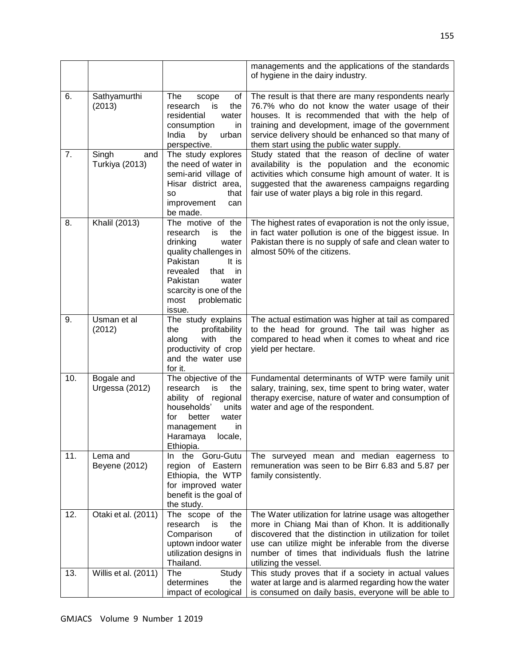|     |                                |                                                                                                                                                                                                                         | managements and the applications of the standards<br>of hygiene in the dairy industry.                                                                                                                                                                                                                             |
|-----|--------------------------------|-------------------------------------------------------------------------------------------------------------------------------------------------------------------------------------------------------------------------|--------------------------------------------------------------------------------------------------------------------------------------------------------------------------------------------------------------------------------------------------------------------------------------------------------------------|
| 6.  | Sathyamurthi<br>(2013)         | The<br>scope<br>οf<br>is<br>the<br>research<br>residential<br>water<br>consumption<br>in.<br>India<br>by<br>urban<br>perspective.                                                                                       | The result is that there are many respondents nearly<br>76.7% who do not know the water usage of their<br>houses. It is recommended that with the help of<br>training and development, image of the government<br>service delivery should be enhanced so that many of<br>them start using the public water supply. |
| 7.  | Singh<br>and<br>Turkiya (2013) | The study explores<br>the need of water in<br>semi-arid village of<br>Hisar district area,<br>that<br>so<br>improvement<br>can<br>be made.                                                                              | Study stated that the reason of decline of water<br>availability is the population and the economic<br>activities which consume high amount of water. It is<br>suggested that the awareness campaigns regarding<br>fair use of water plays a big role in this regard.                                              |
| 8.  | Khalil (2013)                  | The motive of the<br>research<br>the<br>is<br>drinking<br>water<br>quality challenges in<br>Pakistan<br>It is<br>revealed<br>that<br>in<br>Pakistan<br>water<br>scarcity is one of the<br>problematic<br>most<br>issue. | The highest rates of evaporation is not the only issue,<br>in fact water pollution is one of the biggest issue. In<br>Pakistan there is no supply of safe and clean water to<br>almost 50% of the citizens.                                                                                                        |
| 9.  | Usman et al<br>(2012)          | The study explains<br>profitability<br>the<br>with<br>along<br>the<br>productivity of crop<br>and the water use<br>for it.                                                                                              | The actual estimation was higher at tail as compared<br>to the head for ground. The tail was higher as<br>compared to head when it comes to wheat and rice<br>yield per hectare.                                                                                                                                   |
| 10. | Bogale and<br>Urgessa (2012)   | The objective of the<br>research<br>is<br>the<br>ability of regional<br>households'<br>units<br>better<br>water<br>for<br>in<br>management<br>Haramaya<br>locale,<br>Ethiopia.                                          | Fundamental determinants of WTP were family unit<br>salary, training, sex, time spent to bring water, water<br>therapy exercise, nature of water and consumption of<br>water and age of the respondent.                                                                                                            |
| 11. | Lema and<br>Beyene (2012)      | In the Goru-Gutu<br>region of Eastern<br>Ethiopia, the WTP<br>for improved water<br>benefit is the goal of<br>the study.                                                                                                | The surveyed mean and median eagerness to<br>remuneration was seen to be Birr 6.83 and 5.87 per<br>family consistently.                                                                                                                                                                                            |
| 12. | Otaki et al. (2011)            | The scope of the<br>research<br>is<br>the<br>Comparison<br>0f<br>uptown indoor water<br>utilization designs in<br>Thailand.                                                                                             | The Water utilization for latrine usage was altogether<br>more in Chiang Mai than of Khon. It is additionally<br>discovered that the distinction in utilization for toilet<br>use can utilize might be inferable from the diverse<br>number of times that individuals flush the latrine<br>utilizing the vessel.   |
| 13. | Willis et al. (2011)           | The<br>Study<br>determines<br>the<br>impact of ecological                                                                                                                                                               | This study proves that if a society in actual values<br>water at large and is alarmed regarding how the water<br>is consumed on daily basis, everyone will be able to                                                                                                                                              |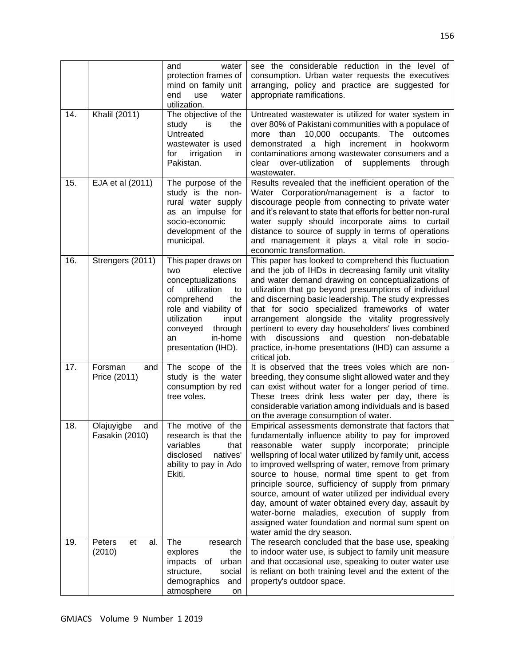|     |                                     | water<br>and<br>protection frames of<br>mind on family unit<br>end<br>use<br>water<br>utilization.                                                                                                                           | see the considerable reduction in the level of<br>consumption. Urban water requests the executives<br>arranging, policy and practice are suggested for<br>appropriate ramifications.                                                                                                                                                                                                                                                                                                                                                                                                                                                             |
|-----|-------------------------------------|------------------------------------------------------------------------------------------------------------------------------------------------------------------------------------------------------------------------------|--------------------------------------------------------------------------------------------------------------------------------------------------------------------------------------------------------------------------------------------------------------------------------------------------------------------------------------------------------------------------------------------------------------------------------------------------------------------------------------------------------------------------------------------------------------------------------------------------------------------------------------------------|
| 14. | Khalil (2011)                       | The objective of the<br>study<br>the<br>is is<br>Untreated<br>wastewater is used<br>irrigation<br>for<br>in.<br>Pakistan.                                                                                                    | Untreated wastewater is utilized for water system in<br>over 80% of Pakistani communities with a populace of<br>10,000 occupants.<br>more than<br>The<br>outcomes<br>demonstrated a high increment in<br>hookworm<br>contaminations among wastewater consumers and a<br>clear<br>over-utilization of supplements<br>through<br>wastewater.                                                                                                                                                                                                                                                                                                       |
| 15. | EJA et al (2011)                    | The purpose of the<br>study is the non-<br>rural water supply<br>as an impulse for<br>socio-economic<br>development of the<br>municipal.                                                                                     | Results revealed that the inefficient operation of the<br>Water Corporation/management is a factor to<br>discourage people from connecting to private water<br>and it's relevant to state that efforts for better non-rural<br>water supply should incorporate aims to curtail<br>distance to source of supply in terms of operations<br>and management it plays a vital role in socio-<br>economic transformation.                                                                                                                                                                                                                              |
| 16. | Strengers (2011)                    | This paper draws on<br>elective<br>two<br>conceptualizations<br>οf<br>utilization<br>to<br>comprehend<br>the<br>role and viability of<br>utilization<br>input<br>conveyed<br>through<br>in-home<br>an<br>presentation (IHD). | This paper has looked to comprehend this fluctuation<br>and the job of IHDs in decreasing family unit vitality<br>and water demand drawing on conceptualizations of<br>utilization that go beyond presumptions of individual<br>and discerning basic leadership. The study expresses<br>that for socio specialized frameworks of water<br>arrangement alongside the vitality progressively<br>pertinent to every day householders' lives combined<br>discussions and<br>question<br>non-debatable<br>with<br>practice, in-home presentations (IHD) can assume a<br>critical job.                                                                 |
| 17. | Forsman<br>and<br>Price (2011)      | The scope of the<br>study is the water<br>consumption by red<br>tree voles.                                                                                                                                                  | It is observed that the trees voles which are non-<br>breeding, they consume slight allowed water and they<br>can exist without water for a longer period of time.<br>These trees drink less water per day, there is<br>considerable variation among individuals and is based<br>on the average consumption of water.                                                                                                                                                                                                                                                                                                                            |
| 18. | Olajuyigbe<br>and<br>Fasakin (2010) | The motive of the<br>research is that the<br>variables<br>that<br>disclosed<br>natives'<br>ability to pay in Ado<br>Ekiti.                                                                                                   | Empirical assessments demonstrate that factors that<br>fundamentally influence ability to pay for improved<br>reasonable water supply incorporate; principle<br>wellspring of local water utilized by family unit, access<br>to improved wellspring of water, remove from primary<br>source to house, normal time spent to get from<br>principle source, sufficiency of supply from primary<br>source, amount of water utilized per individual every<br>day, amount of water obtained every day, assault by<br>water-borne maladies, execution of supply from<br>assigned water foundation and normal sum spent on<br>water amid the dry season. |
| 19. | Peters<br>et<br>al.<br>(2010)       | The<br>research<br>explores<br>the<br>impacts<br>urban<br>οf<br>structure,<br>social<br>demographics<br>and<br>atmosphere<br>on                                                                                              | The research concluded that the base use, speaking<br>to indoor water use, is subject to family unit measure<br>and that occasional use, speaking to outer water use<br>is reliant on both training level and the extent of the<br>property's outdoor space.                                                                                                                                                                                                                                                                                                                                                                                     |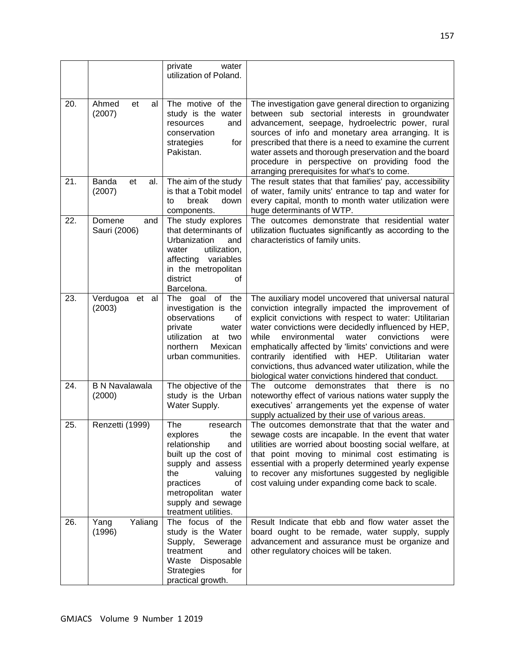|     |                                 | private<br>water<br>utilization of Poland.                                                                                                                                                                     |                                                                                                                                                                                                                                                                                                                                                                                                                                                                                                                        |
|-----|---------------------------------|----------------------------------------------------------------------------------------------------------------------------------------------------------------------------------------------------------------|------------------------------------------------------------------------------------------------------------------------------------------------------------------------------------------------------------------------------------------------------------------------------------------------------------------------------------------------------------------------------------------------------------------------------------------------------------------------------------------------------------------------|
| 20. | Ahmed<br>et<br>al<br>(2007)     | The motive of the<br>study is the water<br>resources<br>and<br>conservation<br>strategies<br>for<br>Pakistan.                                                                                                  | The investigation gave general direction to organizing<br>between sub sectorial interests in groundwater<br>advancement, seepage, hydroelectric power, rural<br>sources of info and monetary area arranging. It is<br>prescribed that there is a need to examine the current<br>water assets and thorough preservation and the board<br>procedure in perspective on providing food the<br>arranging prerequisites for what's to come.                                                                                  |
| 21. | Banda<br>et<br>al.<br>(2007)    | The aim of the study<br>is that a Tobit model<br>down<br>break<br>to<br>components.                                                                                                                            | The result states that that families' pay, accessibility<br>of water, family units' entrance to tap and water for<br>every capital, month to month water utilization were<br>huge determinants of WTP.                                                                                                                                                                                                                                                                                                                 |
| 22. | Domene<br>and<br>Sauri (2006)   | The study explores<br>that determinants of<br>Urbanization<br>and<br>water<br>utilization,<br>affecting variables<br>in the metropolitan<br>district<br>οf<br>Barcelona.                                       | The outcomes demonstrate that residential water<br>utilization fluctuates significantly as according to the<br>characteristics of family units.                                                                                                                                                                                                                                                                                                                                                                        |
| 23. | Verdugoa<br>et al<br>(2003)     | The goal of<br>the<br>investigation is the<br>observations<br>οf<br>private<br>water<br>utilization<br>at<br>two<br>northern<br>Mexican<br>urban communities.                                                  | The auxiliary model uncovered that universal natural<br>conviction integrally impacted the improvement of<br>explicit convictions with respect to water: Utilitarian<br>water convictions were decidedly influenced by HEP,<br>environmental<br>water<br>while<br>convictions<br>were<br>emphatically affected by 'limits' convictions and were<br>contrarily identified with HEP. Utilitarian water<br>convictions, thus advanced water utilization, while the<br>biological water convictions hindered that conduct. |
| 24. | <b>B N Navalawala</b><br>(2000) | The objective of the<br>study is the Urban<br>Water Supply.                                                                                                                                                    | The outcome demonstrates that there is no<br>noteworthy effect of various nations water supply the<br>executives' arrangements yet the expense of water<br>supply actualized by their use of various areas.                                                                                                                                                                                                                                                                                                            |
| 25. | Renzetti (1999)                 | The<br>research<br>explores<br>the<br>relationship<br>and<br>built up the cost of<br>supply and assess<br>the<br>valuing<br>practices<br>οf<br>metropolitan water<br>supply and sewage<br>treatment utilities. | The outcomes demonstrate that that the water and<br>sewage costs are incapable. In the event that water<br>utilities are worried about boosting social welfare, at<br>that point moving to minimal cost estimating is<br>essential with a properly determined yearly expense<br>to recover any misfortunes suggested by negligible<br>cost valuing under expanding come back to scale.                                                                                                                                 |
| 26. | Yang<br>Yaliang<br>(1996)       | The focus of the<br>study is the Water<br>Supply, Sewerage<br>treatment<br>and<br>Waste Disposable<br><b>Strategies</b><br>for<br>practical growth.                                                            | Result Indicate that ebb and flow water asset the<br>board ought to be remade, water supply, supply<br>advancement and assurance must be organize and<br>other regulatory choices will be taken.                                                                                                                                                                                                                                                                                                                       |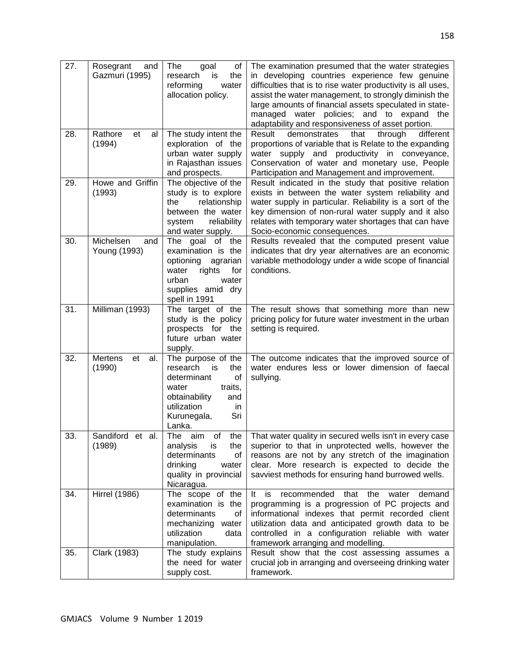| 27. | Rosegrant<br>and<br>Gazmuri (1995) | The<br>goal<br>οf<br>the<br>research<br>is<br>reforming<br>water<br>allocation policy.                                                                            | The examination presumed that the water strategies<br>in developing countries experience few genuine<br>difficulties that is to rise water productivity is all uses,<br>assist the water management, to strongly diminish the<br>large amounts of financial assets speculated in state-<br>managed water policies; and to expand<br>the<br>adaptability and responsiveness of asset portion. |
|-----|------------------------------------|-------------------------------------------------------------------------------------------------------------------------------------------------------------------|----------------------------------------------------------------------------------------------------------------------------------------------------------------------------------------------------------------------------------------------------------------------------------------------------------------------------------------------------------------------------------------------|
| 28. | Rathore<br>et<br>al<br>(1994)      | The study intent the<br>exploration of the<br>urban water supply<br>in Rajasthan issues<br>and prospects.                                                         | Result<br>demonstrates that through<br>different<br>proportions of variable that is Relate to the expanding<br>water supply and productivity in conveyance,<br>Conservation of water and monetary use, People<br>Participation and Management and improvement.                                                                                                                               |
| 29. | Howe and Griffin<br>(1993)         | The objective of the<br>study is to explore<br>relationship<br>the<br>between the water<br>reliability<br>system<br>and water supply.                             | Result indicated in the study that positive relation<br>exists in between the water system reliability and<br>water supply in particular. Reliability is a sort of the<br>key dimension of non-rural water supply and it also<br>relates with temporary water shortages that can have<br>Socio-economic consequences.                                                                        |
| 30. | Michelsen<br>and<br>Young (1993)   | The<br>goal of the<br>examination is the<br>optioning<br>agrarian<br>rights<br>water<br>for<br>urban<br>water<br>supplies amid dry<br>spell in 1991               | Results revealed that the computed present value<br>indicates that dry year alternatives are an economic<br>variable methodology under a wide scope of financial<br>conditions.                                                                                                                                                                                                              |
| 31. | Milliman (1993)                    | The target of the<br>study is the policy<br>prospects for the<br>future urban water<br>supply.                                                                    | The result shows that something more than new<br>pricing policy for future water investment in the urban<br>setting is required.                                                                                                                                                                                                                                                             |
| 32. | Mertens<br>et<br>al.<br>(1990)     | The purpose of the<br>research<br>is<br>the<br>determinant<br>οf<br>traits,<br>water<br>obtainability<br>and<br>utilization<br>in<br>Kurunegala,<br>Sri<br>Lanka. | The outcome indicates that the improved source of<br>water endures less or lower dimension of faecal<br>sullying.                                                                                                                                                                                                                                                                            |
| 33. | Sandiford et al.<br>(1989)         | analysis<br>the<br>İS<br>determinants<br>οf<br>drinking<br>water<br>quality in provincial<br>Nicaragua.                                                           | The $\sin$ of the That water quality in secured wells isn't in every case<br>superior to that in unprotected wells, however the<br>reasons are not by any stretch of the imagination<br>clear. More research is expected to decide the<br>savviest methods for ensuring hand burrowed wells.                                                                                                 |
| 34. | <b>Hirrel (1986)</b>               | The scope of the<br>examination is the<br>determinants<br>οf<br>mechanizing<br>water<br>utilization<br>data<br>manipulation.                                      | recommended<br>that the<br>It is<br>water<br>demand<br>programming is a progression of PC projects and<br>informational indexes that permit recorded client<br>utilization data and anticipated growth data to be<br>controlled in a configuration reliable with water<br>framework arranging and modelling.                                                                                 |
| 35. | Clark (1983)                       | The study explains<br>the need for water<br>supply cost.                                                                                                          | Result show that the cost assessing assumes a<br>crucial job in arranging and overseeing drinking water<br>framework.                                                                                                                                                                                                                                                                        |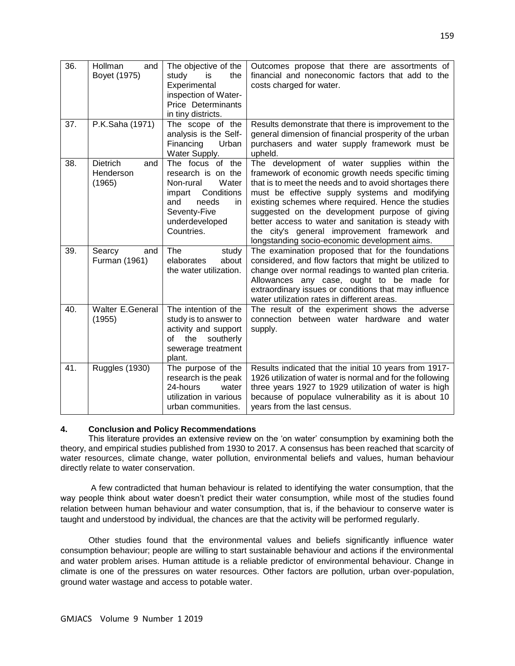| 36. | <b>Hollman</b><br>and<br>Boyet (1975)         | The objective of the<br>study<br>is<br>the<br>Experimental<br>inspection of Water-<br>Price Determinants<br>in tiny districts.                             | Outcomes propose that there are assortments of<br>financial and noneconomic factors that add to the<br>costs charged for water.                                                                                                                                                                                                                                                                                                                                                 |
|-----|-----------------------------------------------|------------------------------------------------------------------------------------------------------------------------------------------------------------|---------------------------------------------------------------------------------------------------------------------------------------------------------------------------------------------------------------------------------------------------------------------------------------------------------------------------------------------------------------------------------------------------------------------------------------------------------------------------------|
| 37. | P.K.Saha (1971)                               | The scope of the<br>analysis is the Self-<br>Financing<br>Urban<br>Water Supply.                                                                           | Results demonstrate that there is improvement to the<br>general dimension of financial prosperity of the urban<br>purchasers and water supply framework must be<br>upheld.                                                                                                                                                                                                                                                                                                      |
| 38. | <b>Dietrich</b><br>and<br>Henderson<br>(1965) | The focus of the<br>research is on the<br>Water<br>Non-rural<br>Conditions<br>impart<br>needs<br>and<br>in<br>Seventy-Five<br>underdeveloped<br>Countries. | The development of water supplies within the<br>framework of economic growth needs specific timing<br>that is to meet the needs and to avoid shortages there<br>must be effective supply systems and modifying<br>existing schemes where required. Hence the studies<br>suggested on the development purpose of giving<br>better access to water and sanitation is steady with<br>the city's general improvement framework and<br>longstanding socio-economic development aims. |
| 39. | Searcy<br>and<br>Furman (1961)                | The<br>study<br>about<br>elaborates<br>the water utilization.                                                                                              | The examination proposed that for the foundations<br>considered, and flow factors that might be utilized to<br>change over normal readings to wanted plan criteria.<br>Allowances any case, ought to be made for<br>extraordinary issues or conditions that may influence<br>water utilization rates in different areas.                                                                                                                                                        |
| 40. | Walter E.General<br>(1955)                    | The intention of the<br>study is to answer to<br>activity and support<br>of<br>the<br>southerly<br>sewerage treatment<br>plant.                            | The result of the experiment shows the adverse<br>connection between water hardware and water<br>supply.                                                                                                                                                                                                                                                                                                                                                                        |
| 41. | <b>Ruggles (1930)</b>                         | The purpose of the<br>research is the peak<br>24-hours<br>water<br>utilization in various<br>urban communities.                                            | Results indicated that the initial 10 years from 1917-<br>1926 utilization of water is normal and for the following<br>three years 1927 to 1929 utilization of water is high<br>because of populace vulnerability as it is about 10<br>years from the last census.                                                                                                                                                                                                              |

# **4. Conclusion and Policy Recommendations**

 This literature provides an extensive review on the 'on water' consumption by examining both the theory, and empirical studies published from 1930 to 2017. A consensus has been reached that scarcity of water resources, climate change, water pollution, environmental beliefs and values, human behaviour directly relate to water conservation.

 A few contradicted that human behaviour is related to identifying the water consumption, that the way people think about water doesn't predict their water consumption, while most of the studies found relation between human behaviour and water consumption, that is, if the behaviour to conserve water is taught and understood by individual, the chances are that the activity will be performed regularly.

 Other studies found that the environmental values and beliefs significantly influence water consumption behaviour; people are willing to start sustainable behaviour and actions if the environmental and water problem arises. Human attitude is a reliable predictor of environmental behaviour. Change in climate is one of the pressures on water resources. Other factors are pollution, urban over-population, ground water wastage and access to potable water.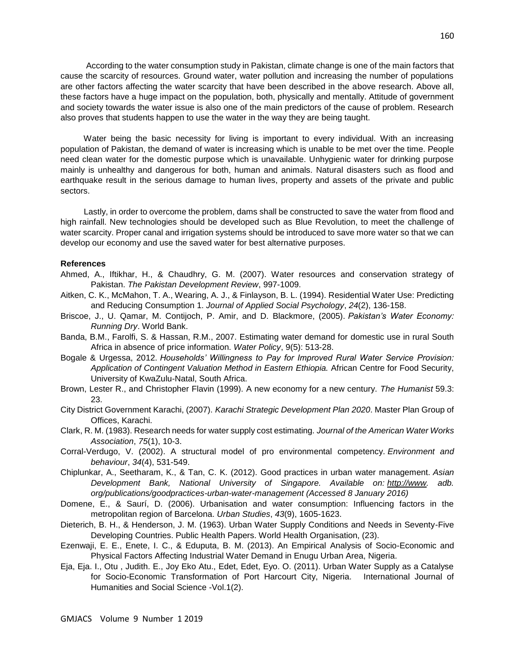According to the water consumption study in Pakistan, climate change is one of the main factors that cause the scarcity of resources. Ground water, water pollution and increasing the number of populations are other factors affecting the water scarcity that have been described in the above research. Above all, these factors have a huge impact on the population, both, physically and mentally. Attitude of government and society towards the water issue is also one of the main predictors of the cause of problem. Research also proves that students happen to use the water in the way they are being taught.

 Water being the basic necessity for living is important to every individual. With an increasing population of Pakistan, the demand of water is increasing which is unable to be met over the time. People need clean water for the domestic purpose which is unavailable. Unhygienic water for drinking purpose mainly is unhealthy and dangerous for both, human and animals. Natural disasters such as flood and earthquake result in the serious damage to human lives, property and assets of the private and public sectors.

 Lastly, in order to overcome the problem, dams shall be constructed to save the water from flood and high rainfall. New technologies should be developed such as Blue Revolution, to meet the challenge of water scarcity. Proper canal and irrigation systems should be introduced to save more water so that we can develop our economy and use the saved water for best alternative purposes.

## **References**

- Ahmed, A., Iftikhar, H., & Chaudhry, G. M. (2007). Water resources and conservation strategy of Pakistan. *The Pakistan Development Review*, 997-1009.
- Aitken, C. K., McMahon, T. A., Wearing, A. J., & Finlayson, B. L. (1994). Residential Water Use: Predicting and Reducing Consumption 1. *Journal of Applied Social Psychology*, *24*(2), 136-158.
- Briscoe, J., U. Qamar, M. Contijoch, P. Amir, and D. Blackmore, (2005). *Pakistan's Water Economy: Running Dry*. World Bank.
- Banda, B.M., Farolfi, S. & Hassan, R.M., 2007. Estimating water demand for domestic use in rural South Africa in absence of price information. *Water Policy*, 9(5): 513-28.
- Bogale & Urgessa, 2012. *Households' Willingness to Pay for Improved Rural Water Service Provision: Application of Contingent Valuation Method in Eastern Ethiopia.* African Centre for Food Security, University of KwaZulu-Natal, South Africa.
- Brown, Lester R., and Christopher Flavin (1999). A new economy for a new century. *The Humanist* 59.3: 23.
- City District Government Karachi, (2007). *Karachi Strategic Development Plan 2020*. Master Plan Group of Offices, Karachi.
- Clark, R. M. (1983). Research needs for water supply cost estimating. *Journal of the American Water Works Association*, *75*(1), 10-3.
- Corral-Verdugo, V. (2002). A structural model of pro environmental competency. *Environment and behaviour*, *34*(4), 531-549.
- Chiplunkar, A., Seetharam, K., & Tan, C. K. (2012). Good practices in urban water management. *Asian Development Bank, National University of Singapore. Available on: [http://www.](http://www/) adb. org/publications/goodpractices-urban-water-management (Accessed 8 January 2016)*
- Domene, E., & Saurí, D. (2006). Urbanisation and water consumption: Influencing factors in the metropolitan region of Barcelona. *Urban Studies*, *43*(9), 1605-1623.
- Dieterich, B. H., & Henderson, J. M. (1963). Urban Water Supply Conditions and Needs in Seventy-Five Developing Countries. Public Health Papers. World Health Organisation, (23).
- Ezenwaji, E. E., Enete, I. C., & Eduputa, B. M. (2013). An Empirical Analysis of Socio-Economic and Physical Factors Affecting Industrial Water Demand in Enugu Urban Area, Nigeria.
- Eja, Eja. I., Otu , Judith. E., Joy Eko Atu., Edet, Edet, Eyo. O. (2011). Urban Water Supply as a Catalyse for Socio-Economic Transformation of Port Harcourt City, Nigeria. International Journal of Humanities and Social Science -Vol.1(2).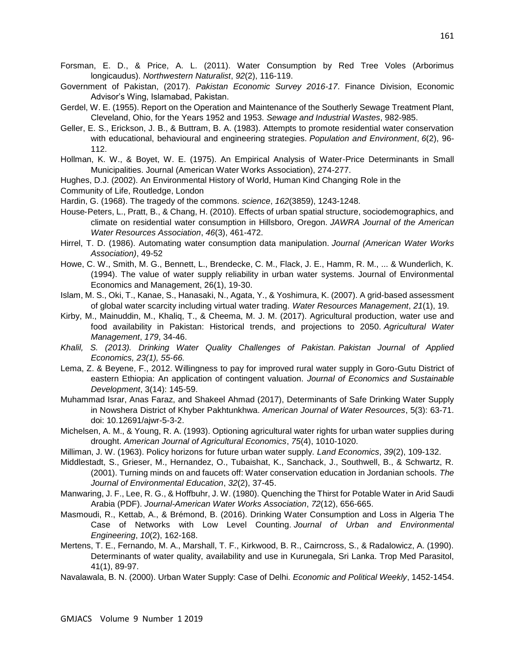- Forsman, E. D., & Price, A. L. (2011). Water Consumption by Red Tree Voles (Arborimus longicaudus). *Northwestern Naturalist*, *92*(2), 116-119.
- Government of Pakistan, (2017). *Pakistan Economic Survey 2016-17*. Finance Division, Economic Advisor's Wing, Islamabad, Pakistan.
- Gerdel, W. E. (1955). Report on the Operation and Maintenance of the Southerly Sewage Treatment Plant, Cleveland, Ohio, for the Years 1952 and 1953. *Sewage and Industrial Wastes*, 982-985.
- Geller, E. S., Erickson, J. B., & Buttram, B. A. (1983). Attempts to promote residential water conservation with educational, behavioural and engineering strategies. *Population and Environment*, *6*(2), 96- 112.
- Hollman, K. W., & Boyet, W. E. (1975). An Empirical Analysis of Water-Price Determinants in Small Municipalities. Journal (American Water Works Association), 274-277.
- Hughes, D.J. (2002). An Environmental History of World, Human Kind Changing Role in the
- Community of Life, Routledge, London
- Hardin, G. (1968). The tragedy of the commons. *science*, *162*(3859), 1243-1248.
- House‐Peters, L., Pratt, B., & Chang, H. (2010). Effects of urban spatial structure, sociodemographics, and climate on residential water consumption in Hillsboro, Oregon. *JAWRA Journal of the American Water Resources Association*, *46*(3), 461-472.
- Hirrel, T. D. (1986). Automating water consumption data manipulation. *Journal (American Water Works Association)*, 49-52
- Howe, C. W., Smith, M. G., Bennett, L., Brendecke, C. M., Flack, J. E., Hamm, R. M., ... & Wunderlich, K. (1994). The value of water supply reliability in urban water systems. Journal of Environmental Economics and Management, 26(1), 19-30.
- Islam, M. S., Oki, T., Kanae, S., Hanasaki, N., Agata, Y., & Yoshimura, K. (2007). A grid-based assessment of global water scarcity including virtual water trading. *Water Resources Management*, *21*(1), 19.
- Kirby, M., Mainuddin, M., Khaliq, T., & Cheema, M. J. M. (2017). Agricultural production, water use and food availability in Pakistan: Historical trends, and projections to 2050. *Agricultural Water Management*, *179*, 34-46.
- *Khalil, S. (2013). Drinking Water Quality Challenges of Pakistan. Pakistan Journal of Applied Economics, 23(1), 55-66.*
- Lema, Z. & Beyene, F., 2012. Willingness to pay for improved rural water supply in Goro-Gutu District of eastern Ethiopia: An application of contingent valuation. *Journal of Economics and Sustainable Development*, 3(14): 145-59.
- Muhammad Israr, Anas Faraz, and Shakeel Ahmad (2017), Determinants of Safe Drinking Water Supply in Nowshera District of Khyber Pakhtunkhwa. *American Journal of Water Resources*, 5(3): 63-71. doi: 10.12691/ajwr-5-3-2.
- Michelsen, A. M., & Young, R. A. (1993). Optioning agricultural water rights for urban water supplies during drought. *American Journal of Agricultural Economics*, *75*(4), 1010-1020.
- Milliman, J. W. (1963). Policy horizons for future urban water supply. *Land Economics*, *39*(2), 109-132.
- Middlestadt, S., Grieser, M., Hernandez, O., Tubaishat, K., Sanchack, J., Southwell, B., & Schwartz, R. (2001). Turning minds on and faucets off: Water conservation education in Jordanian schools. *The Journal of Environmental Education*, *32*(2), 37-45.
- Manwaring, J. F., Lee, R. G., & Hoffbuhr, J. W. (1980). Quenching the Thirst for Potable Water in Arid Saudi Arabia (PDF). *Journal-American Water Works Association*, *72*(12), 656-665.
- Masmoudi, R., Kettab, A., & Brémond, B. (2016). Drinking Water Consumption and Loss in Algeria The Case of Networks with Low Level Counting. *Journal of Urban and Environmental Engineering*, *10*(2), 162-168.
- Mertens, T. E., Fernando, M. A., Marshall, T. F., Kirkwood, B. R., Cairncross, S., & Radalowicz, A. (1990). Determinants of water quality, availability and use in Kurunegala, Sri Lanka. Trop Med Parasitol, 41(1), 89-97.
- Navalawala, B. N. (2000). Urban Water Supply: Case of Delhi. *Economic and Political Weekly*, 1452-1454.